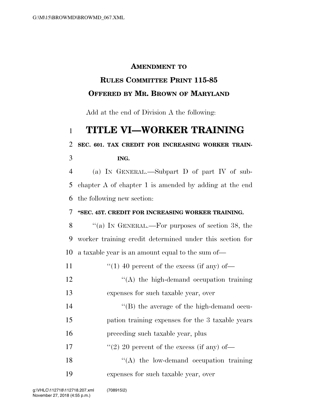## **AMENDMENT TO**

## **RULES COMMITTEE PRINT 115-85 OFFERED BY MR. BROWN OF MARYLAND**

Add at the end of Division A the following:

# **TITLE VI—WORKER TRAINING**

### **SEC. 601. TAX CREDIT FOR INCREASING WORKER TRAIN-**

#### **ING.**

 (a) IN GENERAL.—Subpart D of part IV of sub- chapter A of chapter 1 is amended by adding at the end the following new section:

#### **''SEC. 45T. CREDIT FOR INCREASING WORKER TRAINING.**

 ''(a) IN GENERAL.—For purposes of section 38, the worker training credit determined under this section for a taxable year is an amount equal to the sum of—

| 11 | "(1) 40 percent of the excess (if any) of-       |
|----|--------------------------------------------------|
| 12 | $\lq\lq$ the high-demand occupation training     |
| 13 | expenses for such taxable year, over             |
| 14 | $\lq$ (B) the average of the high-demand occu-   |
| 15 | pation training expenses for the 3 taxable years |
| 16 | preceding such taxable year, plus                |
| 17 | $\lq(2)$ 20 percent of the excess (if any) of —  |
| 18 | $\lq\lq$ the low-demand occupation training      |

expenses for such taxable year, over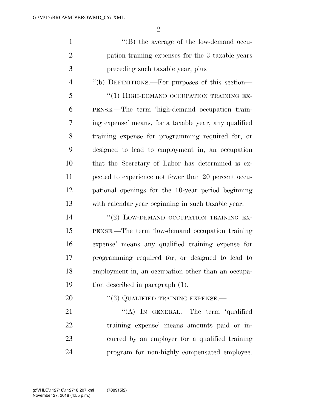$\Omega$ 

| $\mathbf{1}$   | $\lq\lq$ the average of the low-demand occu-          |
|----------------|-------------------------------------------------------|
| $\overline{2}$ | pation training expenses for the 3 taxable years      |
| 3              | preceding such taxable year, plus                     |
| $\overline{4}$ | "(b) DEFINITIONS.—For purposes of this section—       |
| 5              | "(1) HIGH-DEMAND OCCUPATION TRAINING EX-              |
| 6              | PENSE.—The term 'high-demand occupation train-        |
| 7              | ing expense' means, for a taxable year, any qualified |
| 8              | training expense for programming required for, or     |
| 9              | designed to lead to employment in, an occupation      |
| 10             | that the Secretary of Labor has determined is ex-     |
| 11             | pected to experience not fewer than 20 percent occu-  |
| 12             | pational openings for the 10-year period beginning    |
| 13             | with calendar year beginning in such taxable year.    |
| 14             | "(2) LOW-DEMAND OCCUPATION TRAINING EX-               |
| 15             | PENSE.—The term 'low-demand occupation training       |
| 16             | expense' means any qualified training expense for     |
| 17             | programming required for, or designed to lead to      |
| 18             | employment in, an occupation other than an occupa-    |
| 19             | tion described in paragraph (1).                      |

20 "(3) QUALIFIED TRAINING EXPENSE.—

21 "(A) In GENERAL.—The term 'qualified training expense' means amounts paid or in- curred by an employer for a qualified training program for non-highly compensated employee.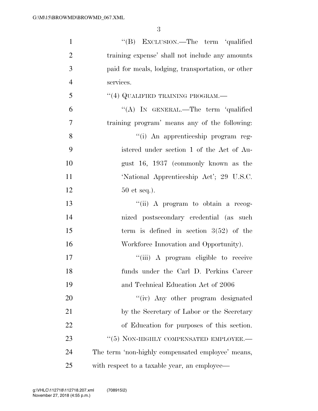| $\mathbf{1}$   | "(B) EXCLUSION.—The term 'qualified               |
|----------------|---------------------------------------------------|
| $\mathfrak{2}$ | training expense' shall not include any amounts   |
| 3              | paid for meals, lodging, transportation, or other |
| $\overline{4}$ | services.                                         |
| 5              | "(4) QUALIFIED TRAINING PROGRAM.—                 |
| 6              | "(A) IN GENERAL.—The term 'qualified              |
| $\overline{7}$ | training program' means any of the following:     |
| 8              | "(i) An apprenticeship program reg-               |
| 9              | istered under section 1 of the Act of Au-         |
| 10             | gust 16, 1937 (commonly known as the              |
| 11             | 'National Apprenticeship Act'; 29 U.S.C.          |
| 12             | $50$ et seq.).                                    |
| 13             | "(ii) A program to obtain a recog-                |
| 14             | nized postsecondary credential (as such           |
| 15             | term is defined in section $3(52)$ of the         |
| 16             | Workforce Innovation and Opportunity).            |
| 17             | "(iii) A program eligible to receive              |
| 18             | funds under the Carl D. Perkins Career            |
| 19             | and Technical Education Act of 2006               |
| 20             | "(iv) Any other program designated                |
| 21             | by the Secretary of Labor or the Secretary        |
| 22             | of Education for purposes of this section.        |
| 23             | $``(5)$ NON-HIGHLY COMPENSATED EMPLOYEE.—         |
| 24             | The term 'non-highly compensated employee' means, |
| 25             | with respect to a taxable year, an employee—      |